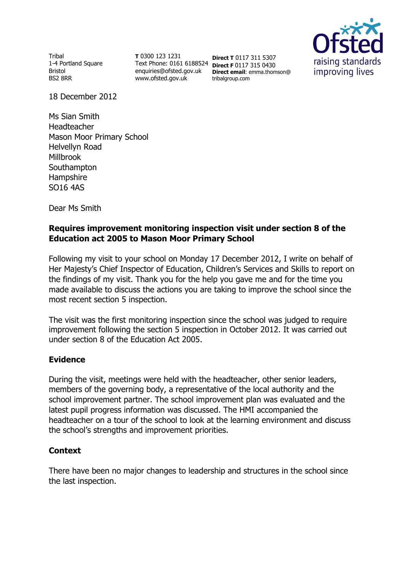Tribal 1-4 Portland Square Bristol BS2 8RR

**T** 0300 123 1231 Text Phone: 0161 6188524 **Direct F** 0117 315 0430 enquiries@ofsted.gov.uk www.ofsted.gov.uk

**Direct T** 0117 311 5307 **Direct email**: emma.thomson@ tribalgroup.com



18 December 2012

Ms Sian Smith Headteacher Mason Moor Primary School Helvellyn Road Millbrook **Southampton Hampshire** SO16 4AS

Dear Ms Smith

# **Requires improvement monitoring inspection visit under section 8 of the Education act 2005 to Mason Moor Primary School**

Following my visit to your school on Monday 17 December 2012, I write on behalf of Her Majesty's Chief Inspector of Education, Children's Services and Skills to report on the findings of my visit. Thank you for the help you gave me and for the time you made available to discuss the actions you are taking to improve the school since the most recent section 5 inspection.

The visit was the first monitoring inspection since the school was judged to require improvement following the section 5 inspection in October 2012. It was carried out under section 8 of the Education Act 2005.

# **Evidence**

During the visit, meetings were held with the headteacher, other senior leaders, members of the governing body, a representative of the local authority and the school improvement partner. The school improvement plan was evaluated and the latest pupil progress information was discussed. The HMI accompanied the headteacher on a tour of the school to look at the learning environment and discuss the school's strengths and improvement priorities.

# **Context**

There have been no major changes to leadership and structures in the school since the last inspection.